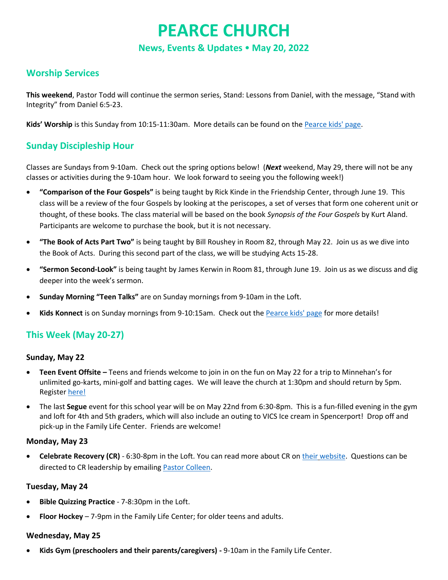# **PEARCE CHURCH**

**News, Events & Updates May 20, 2022**

## **Worship Services**

**This weekend**, Pastor Todd will continue the sermon series, Stand: Lessons from Daniel, with the message, "Stand with Integrity" from Daniel 6:5-23.

**Kids' Worship** is this Sunday from 10:15-11:30am. More details can be found on the [Pearce kids' page.](https://www.pearcechurch.org/kids/)

## **Sunday Discipleship Hour**

Classes are Sundays from 9-10am. Check out the spring options below! (*Next* weekend, May 29, there will not be any classes or activities during the 9-10am hour. We look forward to seeing you the following week!)

- **"Comparison of the Four Gospels"** is being taught by Rick Kinde in the Friendship Center, through June 19. This class will be a review of the four Gospels by looking at the periscopes, a set of verses that form one coherent unit or thought, of these books. The class material will be based on the book *Synopsis of the Four Gospels* by Kurt Aland. Participants are welcome to purchase the book, but it is not necessary.
- **"The Book of Acts Part Two"** is being taught by Bill Roushey in Room 82, through May 22. Join us as we dive into the Book of Acts. During this second part of the class, we will be studying Acts 15-28.
- **"Sermon Second-Look"** is being taught by James Kerwin in Room 81, through June 19. Join us as we discuss and dig deeper into the week's sermon.
- **Sunday Morning "Teen Talks"** are on Sunday mornings from 9-10am in the Loft.
- **Kids Konnect** is on Sunday mornings from 9-10:15am. Check out th[e Pearce kids' page](https://www.pearcechurch.org/kids/) for more details!

# **This Week (May 20-27)**

#### **Sunday, May 22**

- **Teen Event Offsite –** Teens and friends welcome to join in on the fun on May 22 for a trip to Minnehan's for unlimited go-karts, mini-golf and batting cages. We will leave the church at 1:30pm and should return by 5pm. Register [here!](https://onrealm.org/PearceChurch/Registrations/Registrants/9fc7e04b-09fd-4a2e-ad33-ae8a014572d3?congregantView=True)
- The last **Segue** event for this school year will be on May 22nd from 6:30-8pm. This is a fun-filled evening in the gym and loft for 4th and 5th graders, which will also include an outing to VICS Ice cream in Spencerport! Drop off and pick-up in the Family Life Center. Friends are welcome!

#### **Monday, May 23**

• **Celebrate Recovery (CR)** - 6:30-8pm in the Loft. You can read more about CR on their [website.](mailto:their%20website) Questions can be directed to CR leadership by emailing [Pastor Colleen.](mailto:dick_colleen@pearcechurch.org)

#### **Tuesday, May 24**

- **Bible Quizzing Practice** 7-8:30pm in the Loft.
- **Floor Hockey** 7-9pm in the Family Life Center; for older teens and adults.

#### **Wednesday, May 25**

• **Kids Gym (preschoolers and their parents/caregivers) -** 9-10am in the Family Life Center.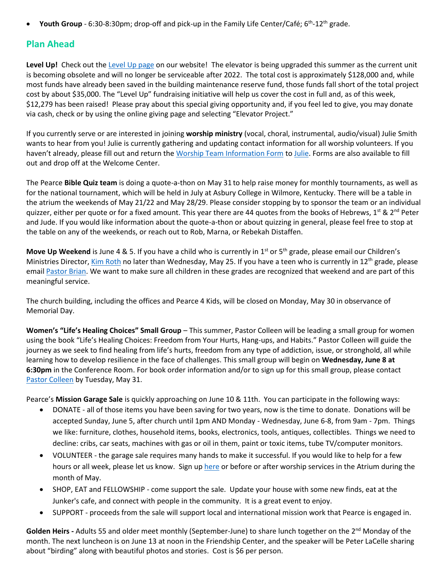• Youth Group - 6:30-8:30pm; drop-off and pick-up in the Family Life Center/Café; 6<sup>th</sup>-12<sup>th</sup> grade.

# **Plan Ahead**

**Level Up!** Check out the [Level Up page](http://www.pearcechurch.org/elevator) on our website! The elevator is being upgraded this summer as the current unit is becoming obsolete and will no longer be serviceable after 2022. The total cost is approximately \$128,000 and, while most funds have already been saved in the building maintenance reserve fund, those funds fall short of the total project cost by about \$35,000. The "Level Up" fundraising initiative will help us cover the cost in full and, as of this week, \$12,279 has been raised! Please pray about this special giving opportunity and, if you feel led to give, you may donate via cash, check or by using the online giving page and selecting "Elevator Project."

If you currently serve or are interested in joining **worship ministry** (vocal, choral, instrumental, audio/visual) Julie Smith wants to hear from you! Julie is currently gathering and updating contact information for all worship volunteers. If you haven't already, please fill out and return the [Worship Team Information Form](https://www.pearcechurch.org/wp-content/uploads/2022/05/PMC-Worship-Team-Information-Form.pdf) to [Julie.](mailto:smith_julie@pearcechurch.org) Forms are also available to fill out and drop off at the Welcome Center.

The Pearce **Bible Quiz team** is doing a quote-a-thon on May 31 to help raise money for monthly tournaments, as well as for the national tournament, which will be held in July at Asbury College in Wilmore, Kentucky. There will be a table in the atrium the weekends of May 21/22 and May 28/29. Please consider stopping by to sponsor the team or an individual quizzer, either per quote or for a fixed amount. This year there are 44 quotes from the books of Hebrews,  $1^{st}$  &  $2^{nd}$  Peter and Jude. If you would like information about the quote-a-thon or about quizzing in general, please feel free to stop at the table on any of the weekends, or reach out to Rob, Marna, or Rebekah Distaffen.

Move Up Weekend is June 4 & 5. If you have a child who is currently in 1<sup>st</sup> or 5<sup>th</sup> grade, please email our Children's Ministries Director[, Kim Roth](mailto:roth_kim@pearcechurch.org) no later than Wednesday, May 25. If you have a teen who is currently in 12<sup>th</sup> grade, please email [Pastor Brian.](mailto:roth_brian@pearcechurch.org) We want to make sure all children in these grades are recognized that weekend and are part of this meaningful service.

The church building, including the offices and Pearce 4 Kids, will be closed on Monday, May 30 in observance of Memorial Day.

**Women's "Life's Healing Choices" Small Group** – This summer, Pastor Colleen will be leading a small group for women using the book "Life's Healing Choices: Freedom from Your Hurts, Hang-ups, and Habits." Pastor Colleen will guide the journey as we seek to find healing from life's hurts, freedom from any type of addiction, issue, or stronghold, all while learning how to develop resilience in the face of challenges. This small group will begin on **Wednesday, June 8 at 6:30pm** in the Conference Room. For book order information and/or to sign up for this small group, please contact [Pastor Colleen](mailto:dick_colleen@pearcechurch.org) by Tuesday, May 31.

Pearce's **Mission Garage Sale** is quickly approaching on June 10 & 11th. You can participate in the following ways:

- DONATE all of those items you have been saving for two years, now is the time to donate. Donations will be accepted Sunday, June 5, after church until 1pm AND Monday - Wednesday, June 6-8, from 9am - 7pm. Things we like: furniture, clothes, household items, books, electronics, tools, antiques, collectibles. Things we need to decline: cribs, car seats, machines with gas or oil in them, paint or toxic items, tube TV/computer monitors.
- VOLUNTEER the garage sale requires many hands to make it successful. If you would like to help for a few hours or all week, please let us know. Sign up [here](https://www.signupgenius.com/go/4090444A8A622ABF58-pearce) or before or after worship services in the Atrium during the month of May.
- SHOP, EAT and FELLOWSHIP come support the sale. Update your house with some new finds, eat at the Junker's cafe, and connect with people in the community. It is a great event to enjoy.
- SUPPORT proceeds from the sale will support local and international mission work that Pearce is engaged in.

Golden Heirs - Adults 55 and older meet monthly (September-June) to share lunch together on the 2<sup>nd</sup> Monday of the month. The next luncheon is on June 13 at noon in the Friendship Center, and the speaker will be Peter LaCelle sharing about "birding" along with beautiful photos and stories. Cost is \$6 per person.